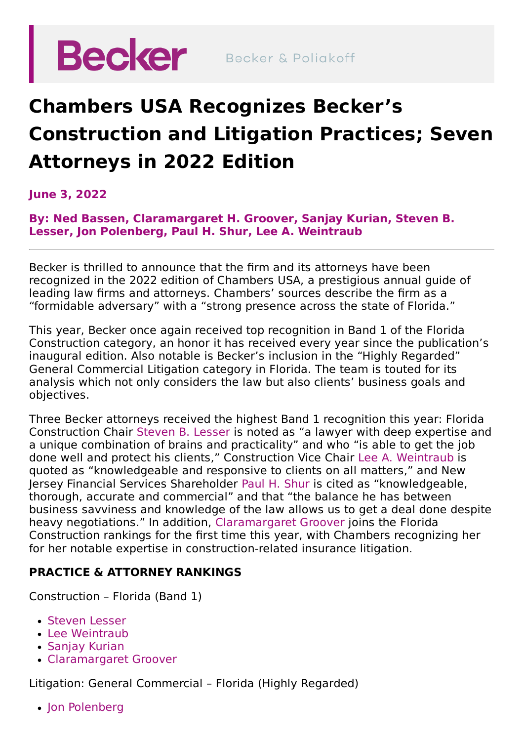

## **Chambers USA Recognizes Becker's Construction and Litigation Practices; Seven Attorneys in 2022 Edition**

**June 3, 2022**

**By: Ned [Bassen](https://beckerlawyers.com/professionals/ned-bassen/), [Claramargaret](https://beckerlawyers.com/professionals/claramargaret-groover/) H. Groover, Sanjay [Kurian,](https://beckerlawyers.com/professionals/sanjay-kurian/) Steven B. Lesser, Jon [Polenberg,](https://beckerlawyers.com/professionals/jon-polenberg/) Paul H. [Shur](https://beckerlawyers.com/professionals/paul-h-shur/), Lee A. [Weintraub](https://beckerlawyers.com/professionals/lee-weintraub/)**

Becker is thrilled to announce that the firm and its attorneys have been recognized in the 2022 edition of Chambers USA, a prestigious annual guide of leading law firms and attorneys. Chambers' sources describe the firm as a "formidable adversary" with a "strong presence across the state of Florida."

This year, Becker once again received top recognition in Band 1 of the Florida Construction category, an honor it has received every year since the publication's inaugural edition. Also notable is Becker's inclusion in the "Highly Regarded" General Commercial Litigation category in Florida. The team is touted for its analysis which not only considers the law but also clients' business goals and objectives.

Three Becker attorneys received the highest Band 1 recognition this year: Florida Construction Chair [Steven](https://beckerlawyers.com/professionals/steven-lesser/) B. Lesser is noted as "a lawyer with deep expertise and a unique combination of brains and practicality" and who "is able to get the job done well and protect his clients," Construction Vice Chair Lee A. [Weintraub](https://beckerlawyers.com/professionals/lee-weintraub/) is quoted as "knowledgeable and responsive to clients on all matters," and New Jersey Financial Services Shareholder Paul H. [Shur](https://beckerlawyers.com/professionals/paul-h-shur/) is cited as "knowledgeable, thorough, accurate and commercial" and that "the balance he has between business savviness and knowledge of the law allows us to get a deal done despite heavy negotiations." In addition, [Claramargaret](https://beckerlawyers.com/professionals/claramargaret-groover/) Groover joins the Florida Construction rankings for the first time this year, with Chambers recognizing her for her notable expertise in construction-related insurance litigation.

## **PRACTICE & ATTORNEY RANKINGS**

Construction – Florida (Band 1)

- [Steven](https://beckerlawyers.com/professionals/steven-lesser/) Lesser
- Lee [Weintraub](https://beckerlawyers.com/professionals/lee-weintraub/)
- [Sanjay](https://beckerlawyers.com/professionals/sanjay-kurian/) Kurian
- [Claramargaret](https://beckerlawyers.com/professionals/claramargaret-groover/) Groover

Litigation: General Commercial – Florida (Highly Regarded)

• Ion [Polenberg](https://beckerlawyers.com/professionals/jon-polenberg/)